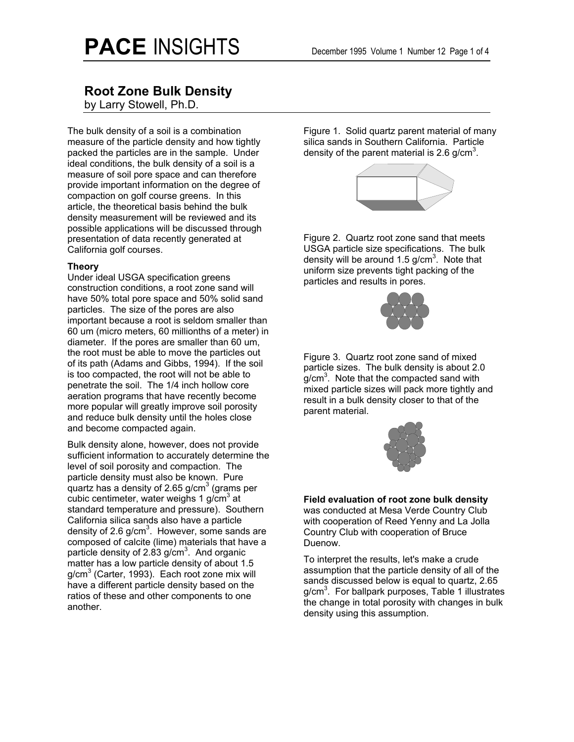## **Root Zone Bulk Density**

by Larry Stowell, Ph.D.

The bulk density of a soil is a combination measure of the particle density and how tightly packed the particles are in the sample. Under ideal conditions, the bulk density of a soil is a measure of soil pore space and can therefore provide important information on the degree of compaction on golf course greens. In this article, the theoretical basis behind the bulk density measurement will be reviewed and its possible applications will be discussed through presentation of data recently generated at California golf courses.

#### **Theory**

Under ideal USGA specification greens construction conditions, a root zone sand will have 50% total pore space and 50% solid sand particles. The size of the pores are also important because a root is seldom smaller than 60 um (micro meters, 60 millionths of a meter) in diameter. If the pores are smaller than 60 um, the root must be able to move the particles out of its path (Adams and Gibbs, 1994). If the soil is too compacted, the root will not be able to penetrate the soil. The 1/4 inch hollow core aeration programs that have recently become more popular will greatly improve soil porosity and reduce bulk density until the holes close and become compacted again.

Bulk density alone, however, does not provide sufficient information to accurately determine the level of soil porosity and compaction. The particle density must also be known. Pure quartz has a density of 2.65 g/cm $^3$  (grams per cubic centimeter, water weighs 1 g/ $\mathrm{cm}^3$  at standard temperature and pressure). Southern California silica sands also have a particle density of 2.6 g/cm<sup>3</sup>. However, some sands are composed of calcite (lime) materials that have a particle density of 2.83 g/cm<sup>3</sup>. And organic matter has a low particle density of about 1.5 g/cm<sup>3</sup> (Carter, 1993). Each root zone mix will have a different particle density based on the ratios of these and other components to one another.

Figure 1. Solid quartz parent material of many silica sands in Southern California. Particle density of the parent material is 2.6 g/cm<sup>3</sup>.



Figure 2. Quartz root zone sand that meets USGA particle size specifications. The bulk density will be around 1.5 g/cm<sup>3</sup>. Note that uniform size prevents tight packing of the particles and results in pores.



Figure 3. Quartz root zone sand of mixed particle sizes. The bulk density is about 2.0  $g/cm<sup>3</sup>$ . Note that the compacted sand with mixed particle sizes will pack more tightly and result in a bulk density closer to that of the parent material.



**Field evaluation of root zone bulk density**  was conducted at Mesa Verde Country Club with cooperation of Reed Yenny and La Jolla Country Club with cooperation of Bruce Duenow.

To interpret the results, let's make a crude assumption that the particle density of all of the sands discussed below is equal to quartz, 2.65 g/cm<sup>3</sup>. For ballpark purposes, Table 1 illustrates the change in total porosity with changes in bulk density using this assumption.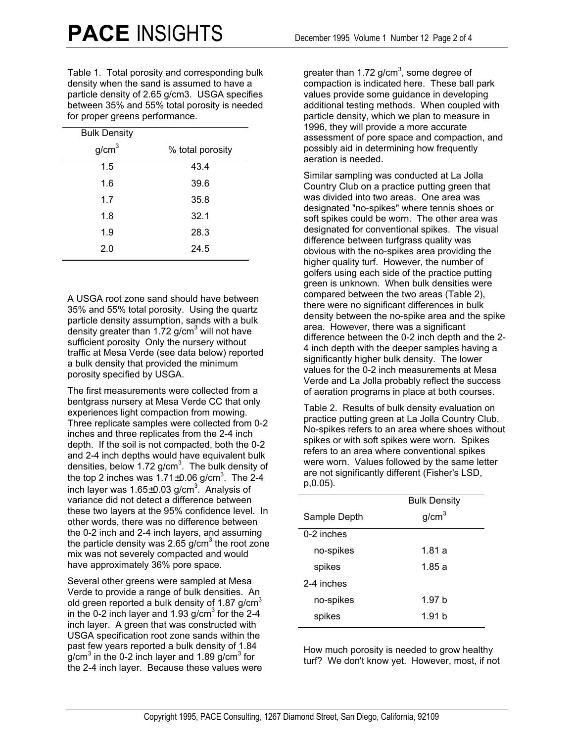Table 1. Total porosity and corresponding bulk density when the sand is assumed to have a particle density of 2.65 g/cm3. USGA specifies between 35% and 55% total porosity is needed for proper greens performance.

| <b>Bulk Density</b> |                  |
|---------------------|------------------|
| g/cm <sup>3</sup>   | % total porosity |
| 1.5                 | 43.4             |
| 1.6                 | 39.6             |
| 1.7                 | 35.8             |
| 1.8                 | 32.1             |
| 1.9                 | 28.3             |
| 2.0                 | 24.5             |

A USGA root zone sand should have between 35% and 55% total porosity. Using the quartz particle density assumption, sands with a bulk .<br>density greater than 1.72 g/cm<sup>3</sup> will not have sufficient porosity Only the nursery without traffic at Mesa Verde (see data below) reported a bulk density that provided the minimum porosity specified by USGA.

The first measurements were collected from a bentgrass nursery at Mesa Verde CC that only experiences light compaction from mowing. Three replicate samples were collected from 0-2 inches and three replicates from the 2-4 inch depth. If the soil is not compacted, both the 0-2 and 2-4 inch depths would have equivalent bulk densities, below 1.72 g/cm<sup>3</sup>. The bulk density of the top 2 inches was  $1.71\pm0.06$  g/cm<sup>3</sup>. The 2-4 inch layer was 1.65 $\pm$ 0.03 g/cm $^3$ . Analysis of variance did not detect a difference between these two layers at the 95% confidence level. In other words, there was no difference between the 0-2 inch and 2-4 inch layers, and assuming the particle density was 2.65 g/cm<sup>3</sup> the root zone mix was not severely compacted and would have approximately 36% pore space.

Several other greens were sampled at Mesa Verde to provide a range of bulk densities. An old green reported a bulk density of 1.87 g/cm<sup>3</sup> in the 0-2 inch layer and 1.93 g/cm<sup>3</sup> for the 2-4 inch layer. A green that was constructed with USGA specification root zone sands within the past few years reported a bulk density of 1.84 g/cm<sup>3</sup> in the 0-2 inch layer and 1.89 g/cm<sup>3</sup> for the 2-4 inch layer. Because these values were

greater than 1.72 g/cm<sup>3</sup>, some degree of compaction is indicated here. These ball park values provide some guidance in developing additional testing methods. When coupled with particle density, which we plan to measure in 1996, they will provide a more accurate assessment of pore space and compaction, and possibly aid in determining how frequently aeration is needed.

Similar sampling was conducted at La Jolla Country Club on a practice putting green that was divided into two areas. One area was designated "no-spikes" where tennis shoes or soft spikes could be worn. The other area was designated for conventional spikes. The visual difference between turfgrass quality was obvious with the no-spikes area providing the higher quality turf. However, the number of golfers using each side of the practice putting green is unknown. When bulk densities were compared between the two areas (Table 2), there were no significant differences in bulk density between the no-spike area and the spike area. However, there was a significant difference between the 0-2 inch depth and the 2- 4 inch depth with the deeper samples having a significantly higher bulk density. The lower values for the 0-2 inch measurements at Mesa Verde and La Jolla probably reflect the success of aeration programs in place at both courses.

Table 2. Results of bulk density evaluation on practice putting green at La Jolla Country Club. No-spikes refers to an area where shoes without spikes or with soft spikes were worn. Spikes refers to an area where conventional spikes were worn. Values followed by the same letter are not significantly different (Fisher's LSD, p,0.05).

|              | <b>Bulk Density</b> |  |
|--------------|---------------------|--|
| Sample Depth | g/cm <sup>3</sup>   |  |
| $0-2$ inches |                     |  |
| no-spikes    | 1.81 a              |  |
| spikes       | 1.85 a              |  |
| 2-4 inches   |                     |  |
| no-spikes    | 1.97 h              |  |
| spikes       | 1.91h               |  |

How much porosity is needed to grow healthy turf? We don't know yet. However, most, if not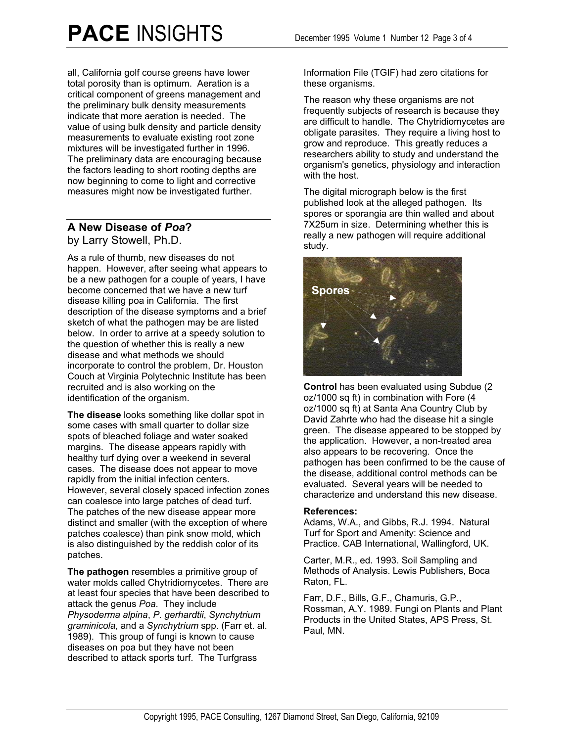all, California golf course greens have lower total porosity than is optimum. Aeration is a critical component of greens management and the preliminary bulk density measurements indicate that more aeration is needed. The value of using bulk density and particle density measurements to evaluate existing root zone mixtures will be investigated further in 1996. The preliminary data are encouraging because the factors leading to short rooting depths are now beginning to come to light and corrective measures might now be investigated further.

# **A New Disease of** *Poa***?**

by Larry Stowell, Ph.D.

As a rule of thumb, new diseases do not happen. However, after seeing what appears to be a new pathogen for a couple of years, I have become concerned that we have a new turf disease killing poa in California. The first description of the disease symptoms and a brief sketch of what the pathogen may be are listed below. In order to arrive at a speedy solution to the question of whether this is really a new disease and what methods we should incorporate to control the problem, Dr. Houston Couch at Virginia Polytechnic Institute has been recruited and is also working on the identification of the organism.

**The disease** looks something like dollar spot in some cases with small quarter to dollar size spots of bleached foliage and water soaked margins. The disease appears rapidly with healthy turf dying over a weekend in several cases. The disease does not appear to move rapidly from the initial infection centers. However, several closely spaced infection zones can coalesce into large patches of dead turf. The patches of the new disease appear more distinct and smaller (with the exception of where patches coalesce) than pink snow mold, which is also distinguished by the reddish color of its patches.

**The pathogen** resembles a primitive group of water molds called Chytridiomycetes. There are at least four species that have been described to attack the genus *Poa*. They include *Physoderma alpina*, *P. gerhardtii*, *Synchytrium graminicola*, and a *Synchytrium* spp. (Farr et. al. 1989). This group of fungi is known to cause diseases on poa but they have not been described to attack sports turf. The Turfgrass

Information File (TGIF) had zero citations for these organisms.

The reason why these organisms are not frequently subjects of research is because they are difficult to handle. The Chytridiomycetes are obligate parasites. They require a living host to grow and reproduce. This greatly reduces a researchers ability to study and understand the organism's genetics, physiology and interaction with the host.

The digital micrograph below is the first published look at the alleged pathogen. Its spores or sporangia are thin walled and about 7X25um in size. Determining whether this is really a new pathogen will require additional study.



**Control** has been evaluated using Subdue (2 oz/1000 sq ft) in combination with Fore (4 oz/1000 sq ft) at Santa Ana Country Club by David Zahrte who had the disease hit a single green. The disease appeared to be stopped by the application. However, a non-treated area also appears to be recovering. Once the pathogen has been confirmed to be the cause of the disease, additional control methods can be evaluated. Several years will be needed to characterize and understand this new disease.

### **References:**

Adams, W.A., and Gibbs, R.J. 1994. Natural Turf for Sport and Amenity: Science and Practice. CAB International, Wallingford, UK.

Carter, M.R., ed. 1993. Soil Sampling and Methods of Analysis. Lewis Publishers, Boca Raton, FL.

Farr, D.F., Bills, G.F., Chamuris, G.P., Rossman, A.Y. 1989. Fungi on Plants and Plant Products in the United States, APS Press, St. Paul, MN.